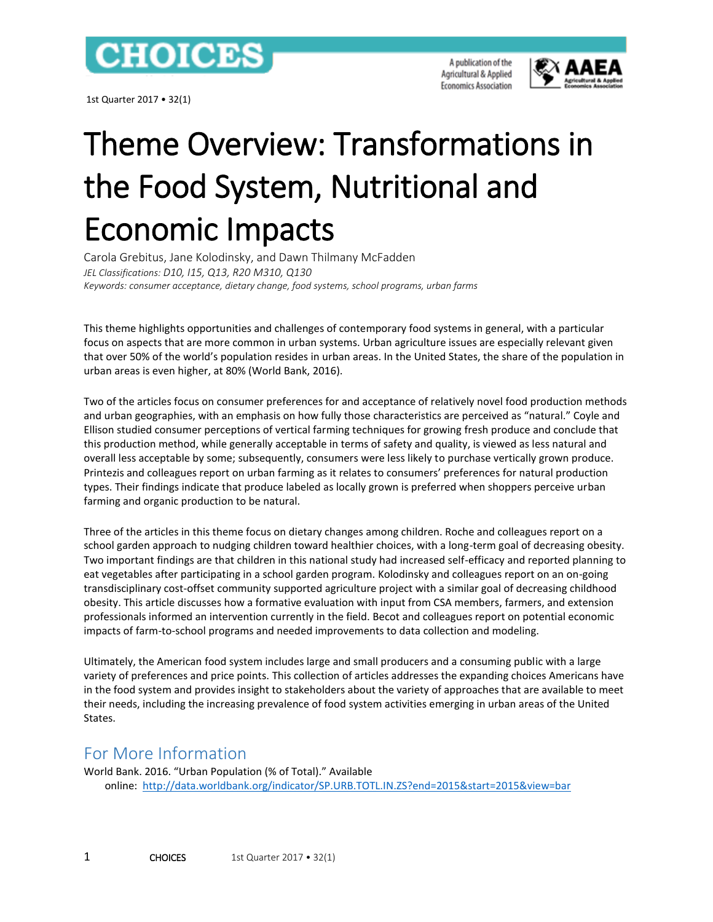

1st Quarter 2017 • 32(1)

A publication of the Agricultural & Applied **Economics Association** 



## Theme Overview: Transformations in the Food System, Nutritional and Economic Impacts

Carola Grebitus, Jane Kolodinsky, and Dawn Thilmany McFadden *JEL Classifications: D10, I15, Q13, R20 M310, Q130 Keywords: consumer acceptance, dietary change, food systems, school programs, urban farms*

This theme highlights opportunities and challenges of contemporary food systems in general, with a particular focus on aspects that are more common in urban systems. Urban agriculture issues are especially relevant given that over 50% of the world's population resides in urban areas. In the United States, the share of the population in urban areas is even higher, at 80% (World Bank, 2016).

Two of the articles focus on consumer preferences for and acceptance of relatively novel food production methods and urban geographies, with an emphasis on how fully those characteristics are perceived as "natural." Coyle and Ellison studied consumer perceptions of vertical farming techniques for growing fresh produce and conclude that this production method, while generally acceptable in terms of safety and quality, is viewed as less natural and overall less acceptable by some; subsequently, consumers were less likely to purchase vertically grown produce. Printezis and colleagues report on urban farming as it relates to consumers' preferences for natural production types. Their findings indicate that produce labeled as locally grown is preferred when shoppers perceive urban farming and organic production to be natural.

Three of the articles in this theme focus on dietary changes among children. Roche and colleagues report on a school garden approach to nudging children toward healthier choices, with a long-term goal of decreasing obesity. Two important findings are that children in this national study had increased self-efficacy and reported planning to eat vegetables after participating in a school garden program. Kolodinsky and colleagues report on an on-going transdisciplinary cost-offset community supported agriculture project with a similar goal of decreasing childhood obesity. This article discusses how a formative evaluation with input from CSA members, farmers, and extension professionals informed an intervention currently in the field. Becot and colleagues report on potential economic impacts of farm-to-school programs and needed improvements to data collection and modeling.

Ultimately, the American food system includes large and small producers and a consuming public with a large variety of preferences and price points. This collection of articles addresses the expanding choices Americans have in the food system and provides insight to stakeholders about the variety of approaches that are available to meet their needs, including the increasing prevalence of food system activities emerging in urban areas of the United States.

## For More Information

World Bank. 2016. "Urban Population (% of Total)." Available online: <http://data.worldbank.org/indicator/SP.URB.TOTL.IN.ZS?end=2015&start=2015&view=bar>